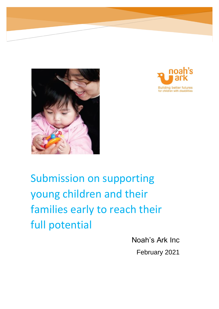



# Submission on supporting young children and their families early to reach their full potential

Noah's Ark Inc

February 2021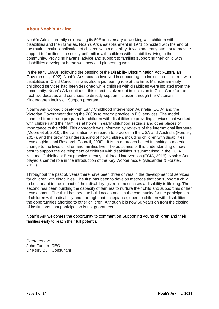# **About Noah's Ark Inc.**

Noah's Ark is currently celebrating its  $50<sup>th</sup>$  anniversary of working with children with disabilities and their families. Noah's Ark's establishment in 1971 coincided with the end of the routine institutionalisation of children with a disability. It was one early attempt to provide support to families in a society unfamiliar with children with disabilities living in the community. Providing havens, advice and support to families supporting their child with disabilities develop at home was new and pioneering work.

In the early 1990s, following the passing of the Disability Discrimination Act (Australian Government, 1992), Noah's Ark became involved in supporting the inclusion of children with disabilities in Child Care. This was also a pioneering role at the time. Mainstream early childhood services had been designed while children with disabilities were isolated from the community. Noah's Ark continued this direct involvement in inclusion in Child Care for the next two decades and continues to directly support inclusion through the Victorian Kindergarten Inclusion Support program.

Noah's Ark worked closely with Early Childhood Intervention Australia (ECIA) and the Victorian Government during the 2000s to reform practice in ECI services. The model changed from group programs for children with disabilities to providing services that worked with children and their families at home, in early childhood settings and other places of importance to the child. This approach was informed by reviews of the international literature (Moore et al, 2010), the translation of research to practice in the USA and Australia (Forster, 2017), and the growing understanding of how children, including children with disabilities, develop (National Research Council, 2000). It is an approach based in making a material change to the lives children and families live. The outcomes of this understanding of how best to support the development of children with disabilities is summarised in the ECIA National Guidelines: Best practice in early childhood intervention (ECIA, 2016). Noah's Ark played a central role in the introduction of the Key Worker model (Alexander & Forster. 2012).

Throughout the past 50 years there have been three drivers in the development of services for children with disabilities. The first has been to develop methods that can support a child to best adapt to the impact of their disability, given in most cases a disability is lifelong. The second has been building the capacity of families to nurture their child and support his or her development. The third has been to build acceptance in the community for the participation of children with a disability and, through that acceptance, open to children with disabilities the opportunities afforded to other children. Although it is now 50 years on from the closing of institutions, that participation is not guaranteed.

Noah's Ark welcomes the opportunity to comment on Supporting young children and their families early to reach their full potential.

*Prepared by:* John Forster, CEO Dr Kerry Bull, Consultant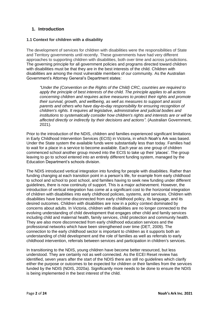# **1. Introduction**

## **1.1 Context for children with a disability**

The development of services for children with disabilities were the responsibilities of State and Territory governments until recently. These governments have had very different approaches to supporting children with disabilities, both over time and across jurisdictions. The governing principle for all government policies and programs directed toward children with disabilities must be that they are in the best interests of the child. Children with disabilities are among the most vulnerable members of our community. As the Australian Government's Attorney General's Department states:

*"Under the (Convention on the Rights of the Child) CRC, countries are required to apply the principle of best interests of the child. The principle applies to all actions concerning children and requires active measures to protect their rights and promote their survival, growth, and wellbeing, as well as measures to support and assist parents and others who have day-to-day responsibility for ensuring recognition of children's rights. It requires all legislative, administrative and judicial bodies and institutions to systematically consider how children's rights and interests are or will be affected directly or indirectly by their decisions and actions".* (Australian Government, 2021).

Prior to the introduction of the NDIS, children and families experienced significant limitations in Early Childhood Intervention Services (ECIS) in Victoria, in which Noah's Ark was based. Under the State system the available funds were substantially less than today. Families had to wait for a place in a service to become available. Each year as one group of children commenced school another group moved into the ECIS to take up their 'places'. The group leaving to go to school entered into an entirely different funding system, managed by the Education Department's schools division.

The NDIS introduced vertical integration into funding for people with disabilities. Rather than funding changing at each transition point in a person's life, for example from early childhood to school and school to post school, and families having to seek new funding under different guidelines, there is now continuity of support. This is a major achievement. However, the introduction of vertical integration has come at a significant cost to the horizontal integration of children with disabilities into early childhood policies, systems, and services. Children with disabilities have become disconnected from early childhood policy, its language, and its desired outcomes. Children with disabilities are now in a policy context dominated by concerns about adults. In Victoria, children with disabilities are no longer connected to the evolving understanding of child development that engages other child and family services including child and maternal health, family services, child protection and community health. They are also more disconnected from early childhood education services and the professional networks which have been strengthened over time (DET, 2009). The connection to the early childhood sector is important to children as it supports both an understanding of child development and the role of families as well as referrals to early childhood intervention, referrals between services and participation in children's services.

In transitioning to the NDIS, young children have become better resourced, but less understood. They are certainly not as well connected. As the ECEI Reset review has identified, seven years after the start of the NDIS there are still no guidelines which clarify either the purpose or outcomes to be expected for children or their families from the services funded by the NDIS (NDIS, 2020a). Significantly more needs to be done to ensure the NDIS is being implemented in the best interest of the child.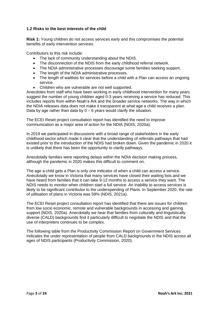## **1.2 Risks to the best interests of the child**

**Risk 1:** Young children do not access services early and this compromises the potential benefits of early intervention services.

Contributors to this risk include:

- The lack of community understanding about the NDIS.
- The disconnection of the NDIS from the early childhood referral network.
- The NDIA administrative processes discourage some families seeking support.
- The length of the NDIA administrative processes.
- The length of waitlists for services before a child with a Plan can access an ongoing service.
- Children who are vulnerable are not well supported.

Anecdotes from staff who have been working in early childhood intervention for many years suggest the number of young children aged 0-3 years receiving a service has reduced. This includes reports from within Noah's Ark and the broader service networks. The way in which the NDIA releases data does not make it transparent at what age a child receives a plan. Data by age rather than data by  $0 - 6$  years would clarify the situation.

The ECEI Reset project consultation report has identified the need to improve communication as a major area of action for the NDIA (NDIS, 2020a).

In 2019 we participated in discussions with a broad range of stakeholders in the early childhood sector which made it clear that the understanding of referrals pathways that had existed prior to the introduction of the NDIS had broken down. Given the pandemic in 2020 it is unlikely that there has been the opportunity to clarify pathways.

Anecdotally families were reporting delays within the NDIA decision making process, although the pandemic in 2020 makes this difficult to comment on.

The age a child gets a Plan is only one indicator of when a child can access a service. Anecdotally we know in Victoria that many services have closed their waiting lists and we have heard from families that it can take 9-12 months to access a service they want. The NDIS needs to monitor when children start a full service. An inability to access services is likely to be significant contributor to the underspending of Plans. In September 2020, the rate of utilisation of plans in Victoria was 59% (NDIS, 2021a).

The ECEI Reset project consultation report has identified that there are issues for children from low socio economic, remote and vulnerable backgrounds in accessing and gaining support (NDIS, 2020a). Anecdotally we hear that families from culturally and linguistically diverse (CALD) backgrounds find it particularly difficult to negotiate the NDIS and that the use of interpreters continues to be complex.

The following table from the Productivity Commission Report on Government Services indicates the under representation of people from CALD backgrounds in the NDIS across all ages of NDIS participants (Productivity Commission, 2020).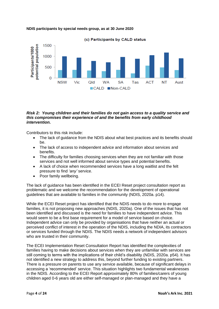

#### **NDIS participants by special needs group, as at 30 June 2020**

#### *Risk 2: Young children and their families do not gain access to a quality service and this compromises their experience of and the benefits from early childhood intervention.*

Contributors to this risk include:

- The lack of guidance from the NDIS about what best practices and its benefits should be.
- The lack of access to independent advice and information about services and benefits.
- The difficulty for families choosing services when they are not familiar with those services and not well informed about service types and potential benefits.
- A lack of choice when recommended services have a long waitlist and the felt pressure to find *'any'* service.
- Poor family wellbeing.

The lack of guidance has been identified in the ECEI Reset project consultation report as problematic and we welcome the recommendation for the development of operational guidelines that are available to families in the community (NDIS, 2020a. p14).

While the ECEI Reset project has identified that the NDIS needs to do more to engage families, it is not proposing new approaches (NDIS, 2020a). One of the issues that has not been identified and discussed is the need for families to have independent advice. This would seem to be a first base requirement for a model of service based on choice. Independent advice can only be provided by organisations that have neither an actual or perceived conflict of interest in the operation of the NDIS, including the NDIA, its contractors or services funded through the NDIS. The NDIS needs a network of independent advisors who are trusted in their community.

The ECEI Implementation Reset Consultation Report has identified the complexities of families having to make decisions about services when they are unfamiliar with services are still coming to terms with the implications of their child's disability (NDIS, 2020a. p54). It has not identified a new strategy to address this, beyond further funding to existing partners. There is a pressure on parents to use any service available, because of significant delays in accessing a 'recommended' service. This situation highlights two fundamental weaknesses in the NDIS. According to the ECEI Report approximately 80% of families/carers of young children aged 0-6 years old are either self-managed or plan-managed and they have a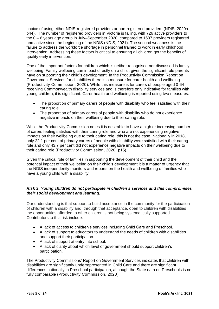choice of using either NDIS-registered providers or non-registered providers (NDIS, 2020a. p44). The number of registered providers in Victoria is falling, with 726 active providers to the 0 – 6 years age group in July–September 2020, compared to 1637 providers registered and active since the beginning of the NDIS (NDIS, 2021). The second weakness is the failure to address the workforce shortage in personnel trained to work in early childhood intervention. Addressing these factors is critical to ensuring all children get the benefits of quality early intervention.

One of the important factors for children which is neither recognised nor discussed is family wellbeing. Family wellbeing can impact directly on a child, given the significant role parents have on supporting their child's development. In the Productivity Commission Report on Government Services for disabilities there is a measure for carer health and wellbeing (Productivity Commission, 2020). While this measure is for carers of people aged 0-64 receiving Commonwealth disability services and is therefore only indicative for families with young children, it is significant. Carer health and wellbeing is reported using two measures:

- The proportion of primary carers of people with disability who feel satisfied with their caring role.
- The proportion of primary carers of people with disability who do not experience negative impacts on their wellbeing due to their caring role.

While the Productivity Commission notes it is desirable to have a high or increasing number of carers feeling satisfied with their caring role and who are not experiencing negative impacts on their wellbeing due to their caring role, this is not the case. Nationally in 2018, only 22.1 per cent of primary carers of people with disability were satisfied with their caring role and only 43.7 per cent did not experience negative impacts on their wellbeing due to their caring role (Productivity Commission, 2020. p15).

Given the critical role of families in supporting the development of their child and the potential impact of their wellbeing on their child's development it is a matter of urgency that the NDIS independently monitors and reports on the health and wellbeing of families who have a young child with a disability.

## *Risk 3: Young children do not participate in children's services and this compromises their social development and learning.*

Our understanding is that support to build acceptance in the community for the participation of children with a disability and, through that acceptance, open to children with disabilities the opportunities afforded to other children is not being systematically supported. Contributors to this risk include:

- A lack of access to children's services including Child Care and Preschool.
- A lack of support to educators to understand the needs of children with disabilities and support their participation.
- A lack of support at entry into school.
- A lack of clarity about which level of government should support children's participation.

The Productivity Commissions' Report on Government Services indicates that children with disabilities are significantly underrepresented in Child Care and there are significant differences nationally in Preschool participation, although the State data on Preschools is not fully comparable (Productivity Commission, 2020).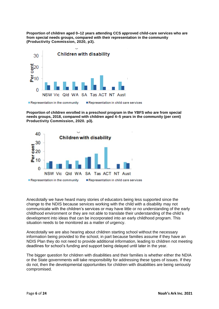**Proportion of children aged 0–12 years attending CCS approved child-care services who are from special needs groups, compared with their representation in the community (Productivity Commission, 2020, p3).**



**Proportion of children enrolled in a preschool program in the YBFS who are from special needs groups, 2018, compared with children aged 4–5 years in the community (per cent) Productivity Commission, 2020. p3).**



Anecdotally we have heard many stories of educators being less supported since the change to the NDIS because services working with the child with a disability may not communicate with the children's services or may have little or no understanding of the early childhood environment or they are not able to translate their understanding of the child's development into ideas that can be incorporated into an early childhood program. This situation needs to be monitored as a matter of urgency.

Anecdotally we are also hearing about children starting school without the necessary information being provided to the school, in part because families assume if they have an NDIS Plan they do not need to provide additional information, leading to children not meeting deadlines for school's funding and support being delayed until later in the year.

The bigger question for children with disabilities and their families is whether either the NDIA or the State governments will take responsibility for addressing these types of issues. If they do not, then the developmental opportunities for children with disabilities are being seriously compromised.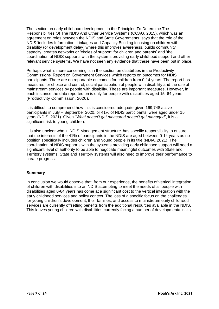The section on early childhood development in the Principles To Determine The Responsibilities Of The NDIS And Other Service Systems (COAG, 2015), which was an agreement on roles between the NDIS and State Governments, says that the role of the NDIS 'includes Information, Linkages and Capacity Building focusing on children with disability (or development delay) where this improves awareness, builds community capacity, creates networks or 'circles of support' for children and parents' and 'the coordination of NDIS supports with the systems providing early childhood support and other relevant service systems. We have not seen any evidence that these have been put in place.

Perhaps what is more concerning is in the section on disabilities in the Productivity Commissions' Report on Government Services which reports on outcomes for NDIS participants. There are no reportable outcomes for children from 0-14 years. The report has measures for choice and control, social participation of people with disability and the use of mainstream services by people with disability. These are important measures. However, in each instance the data reported on is only for people with disabilities aged 15–64 years (Productivity Commission, 2020).

It is difficult to comprehend how this is considered adequate given 169,748 active participants in July – September 2020, or 41% of NDIS participants, were aged under 15 years (NDIS, 2021). Given *"What doesn't get measured doesn't get managed",* it is a significant risk to young children.

It is also unclear who in NDIS Management structure has specific responsibility to ensure that the interests of the 41% of participants in the NDIS are aged between 0-14 years as no position specifically includes children and young people in its title (NDIA, 2021). The coordination of NDIS supports with the systems providing early childhood support will need a significant level of authority to be able to negotiate meaningful outcomes with State and Territory systems. State and Territory systems will also need to improve their performance to create progress.

## **Summary**

In conclusion we would observe that, from our experience, the benefits of vertical integration of children with disabilities into an NDIS attempting to meet the needs of all people with disabilities aged 0-64 years has come at a significant cost to the vertical integration with the early childhood services and policy context. The loss of a specific focus on the challenges for young children's development, their families, and access to mainstream early childhood services are currently offsetting benefits from the additional resources available in the NDIS. This leaves young children with disabilities currently facing a number of developmental risks.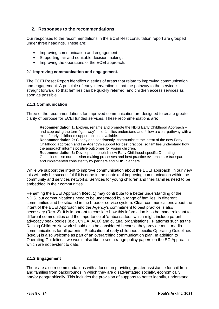# **2. Responses to the recommendations**

Our responses to the recommendations in the ECEI Rest consultation report are grouped under three headings. These are:

- Improving communication and engagement.
- Supporting fair and equitable decision making.
- Improving the operations of the ECEI approach.

## **2.1 Improving communication and engagement.**

The ECEI Reset Report identifies a series of areas that relate to improving communication and engagement. A principle of early intervention is that the pathway to the service is straight forward so that families can be quickly referred, and children access services as soon as possible.

## **2.1.1 Communication**

Three of the recommendations for improved communication are designed to create greater clarity of purpose for ECEI funded services. These recommendations are:

**Recommendation 1:** Explain, rename and promote the NDIS Early Childhood Approach – and stop using the term "gateway" – so families understand and follow a clear pathway with a mix of early childhood support options available.

**Recommendation 2:** Clearly and consistently, communicate the intent of the new Early Childhood approach and the Agency's support for best practice, so families understand how the approach informs positive outcomes for young children.

**Recommendation 3:** Develop and publish new Early Childhood-specific Operating Guidelines – so our decision-making processes and best practice evidence are transparent and implemented consistently by partners and NDIS planners.

While we support the intent to improve communication about the ECEI approach, in our view this will only be successful if it is done in the context of improving communication within the community and services networks. Services for young children and their families need to be embedded in their communities.

Renaming the ECEI Approach **(Rec. 1)** may contribute to a better understanding of the NDIS, but communications need to be understood by a range of families, in different communities and be situated in the broader service system. Clear communications about the intent of the ECEI Approach and the Agency's commitment to best practice is also necessary **(Rec. 2)**. It is important to consider how this information is to be made relevant to different communities and the importance of 'ambassadors' which might include parent advocacy peak bodies (e.g., CYDA, ACD) and cultural organisations. Platforms such as the Raising Children Network should also be considered because they provide multi-media communications for all parents. Publication of early childhood specific Operating Guidelines **(Rec.3)** is also welcome as part of an overarching communication plan. In addition to Operating Guidelines, we would also like to see a range policy papers on the EC Approach which are not evident to date.

## **2.1.2 Engagement**

There are also recommendations with a focus on providing greater assistance for children and families from backgrounds in which they are disadvantaged socially, economically and/or geographically. This includes the provision of supports to better identify, understand,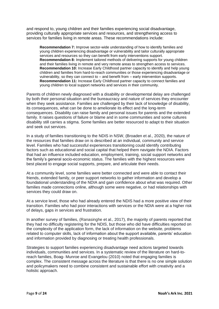and respond to, young children and their families experiencing social disadvantage, providing culturally appropriate services and resources, and strengthening access to services for families living in remote areas. These recommendations include:

**Recommendation 7:** Improve sector-wide understanding of how to identify families and young children experiencing disadvantage or vulnerability and tailor culturally appropriate services and resources so they can benefit from early interventions support. **Recommendation 8:** Implement tailored methods of delivering supports for young children and their families living in remote and very remote areas to strengthen access to services. **Recommendation 10:** Increase Early Childhood partner capacity to identify and help young children and families from hard-to-reach communities or those experiencing disadvantage or vulnerability, so they can connect to – and benefit from – early intervention supports. **Recommendation 11:** Increase Early Childhood partner capacity to connect families and young children to local support networks and services in their community.

Parents of children newly diagnosed with a disability or developmental delay are challenged by both their personal situation and the bureaucracy and nature of services they encounter when they seek assistance. Families are challenged by their lack of knowledge of disability, its consequences, what can be done to ameliorate its effect and the long-term consequences. Disability can raise family and personal issues for parents and the extended family. It raises questions of failure or blame and in some communities and some cultures disability still carries a stigma. Some families are better resourced to adapt to their situation and seek out services.

In a study of families transitioning to the NDIS in NSW, (Broaden et al., 2020), the nature of the resources that families draw on is described at an individual, community and service level. Families who had successful experiences transitioning could identify contributing factors such as educational and social capital that helped them navigate the NDIA. Factors that had an influence included education, employment, training, social support networks and the family's general socio-economic status. The families with the highest resources were best placed to engage social supports, prepare, and articulate their needs.

At a community level, some families were better connected and were able to contact their friends, extended family, or peer support networks to gather information and develop a foundational understanding of the NDIA and gain confidence about what was required. Other families made connections online, although some were negative, or had relationships with services they could draw on.

At a service level, those who had already entered the NDIS had a more positive view of their transition. Families who had poor interactions with services or the NDIA were at a higher risk of delays, gaps in services and frustration.

In another survey of families, (Ranasinghe et al., 2017), the majority of parents reported that they had no difficulty registering for the NDIS, but those who did have difficulties reported on the complexity of the application form, the lack of information on the website, problems related to computer skills, lack of information about the support available, parents' education and information provided by diagnosing or treating health professionals.

Strategies to support families experiencing disadvantage need actions targeted towards individuals, communities and services. In a systematic review of the literature on hard-toreach families, Boag- Munroe and Evangelou (2010) noted that engaging families is complex. The consistent message across the literature is that there is no one simple solution and policymakers need to combine consistent and sustainable effort with creativity and a holistic approach.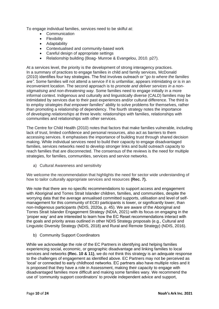To engage individual families, services need to be skilful at:

- Communication
- Flexibility
- Adaptability
- Contextualised and community-based work
- Careful design of appropriate settings
- Relationship building (Boag- Munroe & Evangelou, 2010. p27).

At a services level, the priority is the development of strong interagency practices. In a summary of practices to engage families in child and family services, McDonald (2010) identifies four key strategies. The first involves outreach or "*go to where the families are".* Some families will not attend a service if it is unfamiliar, appears intimidating or is in an inconvenient location. The second approach is to *promote and deliver services in a nonstigmatising and non-threatening way.* Some families need to engage initially in a more informal context. Indigenous and culturally and linguistically diverse (CALD) families may be intimidated by services due to their past experiences and/or cultural difference. The third is to *employ strategies that empower families***'** ability to solve problems for themselves, rather than promoting a relationship of dependency. The fourth strategy notes the importance of *developing relationships* at three levels: relationships with families, relationships with communities and relationships with other services.

The Centre for Child Health (2010) notes that factors that make families vulnerable, including lack of trust, limited confidence and personal resources, also act as barriers to them accessing services. It emphasises the importance of building trust through shared decision making. While individual services need to build their capacity to engage disadvantaged families, services networks need to develop stronger links and build outreach capacity to reach families that are disconnected. The consensus of the reviews is the need for multiple strategies, for families, communities, services and service networks.

a) Cultural Awareness and sensitivity

We welcome the recommendation that highlights the need for sector wide understanding of how to tailor culturally appropriate services and resources **(Rec. 7).** 

We note that there are no specific recommendations to support access and engagement with Aboriginal and Torres Strait Islander children, families, and communities, despite the worrying data that the average annualised committed supports, utilisation and level of selfmanagement for this community of ECEI participants is lower, or significantly lower, than non-Indigenous participants (NDIS, 2020a, p. 45). We are aware of the Aboriginal and Torres Strait Islander Engagement Strategy (NDIA, 2021) with its focus on engaging in the 'proper way' and are interested to learn how the EC Reset recommendations interact with the goals and priority areas outlined in other NDIS Strategy proposals (e.g., Cultural and Linguistic Diversity Strategy (NDIS, 2018) and Rural and Remote Strategy) (NDIS, 2016).

b) Community Support Coordinators

While we acknowledge the role of the EC Partners in identifying and helping families experiencing social, economic, or geographic disadvantage and linking families to local services and networks **(Rec. 10 & 11)**, we do not think this strategy is an adequate response to the challenges of engagement as identified above. EC Partners may not be perceived as 'local' or connected to early childhood networks. EC partners also have multiple roles and it is proposed that they have a role in Assessment, making their capacity to engage with disadvantaged families more difficult and making some families wary. We recommend the use of 'community support coordinators' to provide independent advice and support,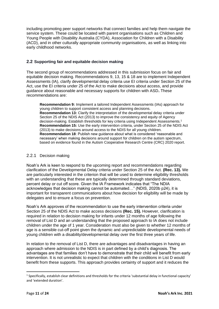including promoting peer support networks that connect families and help them navigate the service system. These could be located with parent organisations such as Children and Young People with Disability Australia (CYDA), Association for Children with a Disability (ACD), and in other culturally appropriate community organisations, as well as linking into early childhood networks.

## **2.2 Supporting fair and equitable decision making**

The second group of recommendations addressed in this submission focus on fair and equitable decision making. Recommendations 9, 13, 15 & 18 are to implement Independent Assessments (IA), clarify developmental delay criteria use EI criteria under Section 25 of the Act, use the EI criteria under 25 of the Act to make decisions about access, and provide guidance about reasonable and necessary supports for children with ASD**.** These recommendations are:

**Recommendation 9:** Implement a tailored Independent Assessments (IAs) approach for young children to support consistent access and planning decisions. **Recommendation 13:** Clarify the interpretation of the developmental delay criteria under Section 25 of the NDIS Act (2013) to improve the consistency and equity of Agency decision-making. Establish thresholds for key criteria using Independent Assessments.<sup>1</sup> **Recommendation 15:** Use the early intervention criteria, under Section 25 of the NDIS Act (2013) to make decisions around access to the NDIS for all young children. **Recommendation 18**: Publish new guidance about what is considered 'reasonable and necessary' when making decisions around support for children on the autism spectrum, based on evidence found in the Autism Cooperative Research Centre (CRC) 2020 report.

## 2.2.1 Decision making

Noah's Ark is keen to respond to the upcoming report and recommendations regarding clarification of the Developmental Delay criteria under Section 25 of the Act. **(Rec. 13).** We are particularly interested in the criterion that will be used to determine eligibility thresholds with an understanding that these are typically determined through standard deviations. percent delay or cut off score. Given the IA Framework indicates that "The NDIA acknowledges that decision making cannot be automated…" (NDIS, 2020b p24), it is important for transparent communications about how decision for eligibility will be made by delegates and to ensure a focus on prevention.

Noah's Ark approves of the recommendation to use the early intervention criteria under Section 25 of the NDIS Act to make access decisions **(Rec. 15).** However, clarification is required in relation to decision making for infants under 12 months of age following the removal of List D and an understanding that the proposed approach to IA does not include children under the age of 1 year. Consideration must also be given to whether 12 months of age is a sensible cut-off point given the dynamic and unpredictable developmental needs of young children with a disability/developmental delay over the first three years of life.

In relation to the removal of List D, there are advantages and disadvantages in having an approach where admission to the NDIS is in part defined by a child's diagnosis. The advantages are that families don't have to demonstrate that their child will benefit from early intervention. It is not unrealistic to expect that children with the conditions in List D would benefit from these supports. This approach provides certainty of support and it reduces the

 $1$  Specifically, establish clear definitions and thresholds for the criteria 'substantial delay in functional capacity' and 'extended duration'.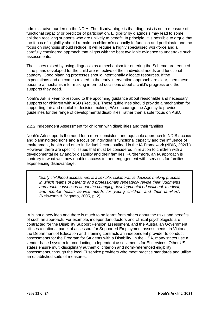administrative burden on the NDIA. The disadvantage is that diagnosis is not a measure of functional capacity or predictor of participation. Eligibility by diagnosis may lead to some children receiving supports who are unlikely to benefit. In principle, it is possible to argue that the focus of eligibility should remain on children's capacity to function and participate and the focus on diagnosis should reduce. It will require a highly specialised workforce and a carefully considered approach that aligns with the best available evidence to undertake such assessments.

The issues raised by using diagnosis as a mechanism for entering the Scheme are reduced if the plans developed for the child are reflective of their individual needs and functional capacity. Good planning processes should intentionally allocate resources. If the expectations and outcomes related to the early intervention approach are clear, then these become a mechanism for making informed decisions about a child's progress and the supports they need.

Noah's Ark is keen to respond to the upcoming guidance about reasonable and necessary supports for children with ASD **(Rec. 18).** These guidelines should provide a mechanism for supporting fair and equitable decision making. We encourage the Agency to provide guidelines for the range of developmental disabilities, rather than a sole focus on ASD.

#### 2.2.2 Independent Assessment for children with disabilities and their families

Noah's Ark supports the need for a more consistent and equitable approach to NDIS access and planning decisions and a focus on individual's functional capacity and the influence of environment, health and other individual factors outlined in the IA Framework (NDIS, 2020b). However, there are specific issues that must be considered in relation to children with a developmental delay and/or disability and their families. Furthermore, an IA approach is contrary to what we know enables access to, and engagement with, services for families experiencing disadvantage.

 *"Early childhood assessment is a flexible, collaborative decision making process in which teams of parents and professionals repeatedly revise their judgments and reach consensus about the changing developmental educational, medical, and mental health service needs for young children and their families".* (Neisworth & Bagnato, 2005, p. 2)

IA is not a new idea and there is much to be learnt from others about the risks and benefits of such an approach. For example, independent doctors and clinical psychologists are contracted for the Disability Support Pension assessment, and the Australian Government utilises a national panel of assessors for Supported Employment assessments. In Victoria, the Department of Education and Training contracts an independent provider to conduct assessments for the Program for Students with a Disability. In the USA, many states use a vendor based system for conducting independent assessments for EI services. Other US states ensure multi-disciplinary authentic, criterion and norm-referenced eligibility assessments, through the local EI service providers who meet practice standards and utilise an established suite of measures.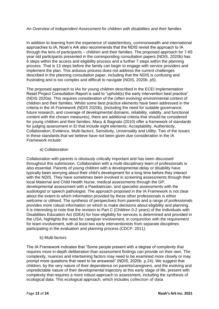#### *An Overview of Independent Assessment for children with disabilities and their families*

In addition to learning from the experience of state/territory, commonwealth and international approaches to IA, Noah's Ark also recommends that the NDIS revisit the approach to IA through the lens of participants – children and their families. The proposed approach for 7-65 year old participants presented in the corresponding consultation papers (NDIS, 2020b) has 6 steps within the access and eligibility process and a further 7 steps within the planning process. That is 13 steps before the family can begin to engage with service providers and implement the plan. This arduous process does not address the current challenges described in the planning consultation paper, including that the NDIS is confusing and frustrating and is too complex and difficult to navigate (NDIS, 2020b. p5).

The proposed approach to IAs for young children described in the ECEI Implementation Reset Project Consultation Report is said to "uphold(s) the early intervention best practice" (NDIS 2020a). This requires consideration of the (often evolving) environmental context of children and their families. Whilst some best practice elements have been addressed in the criteria in the IA Framework (NDIS 2020b), (including the need for suitable governance, future research, and coverage of developmental domains, reliability, validity, and functional content with the chosen measures), there are additional criteria that should be considered for young children and their families. Macy & Bagnato (2010) offer a framework of standards for judging assessment in EI that include eight elements: Acceptability, Authenticity, Collaboration, Evidence, Multi-factors, Sensitivity, Universality and Utility. Two of the issues in these standards that we believe have not been given due consideration in the IA Framework include:

a) Collaboration

Collaboration with parents is obviously critically important and has been discussed throughout this submission. Collaboration with a multi-disciplinary team of professionals is also essential. Parents of young children with a developmental delay or disability have typically been worrying about their child's development for a long time before they interact with the NDIS. They have sometimes been involved in screening assessments through their local Maternal and Child Health Nurse, medical assessments through the GP, developmental assessment with a Paediatrician, and specialist assessments with the audiologist or speech pathologist. The approach proposed in the IA Framework is not clear about the extent to which information provided by these other professionals is either welcome or utilised. The synthesis of perspectives from parents and a range of professionals provides more robust information on which to make decisions about eligibility and planning. It is interesting to note that the revision to Part C (Children 0-2 years) of the Individuals with Disabilities Education Act (IDEA) for how eligibility for services is determined and provided in the USA, highlights the need for caregiver involvement, in conjunction with the requirement for team involvement, with at least two early interventionists from separate disciplines participating in the evaluation and planning process (CDCP, 2011*).* 

b) Multi-factors

The IA Framework indicates that "Some people present with a degree of complexity that requires more in-depth deliberation than assessment findings can provide on their own. The complexity, nuances and intertwining factors may need to be examined more closely or may prompt more questions that need to be answered" (NDIS, 2020b. p.24). We suggest that children, by the very nature of their dependence on parents/caregivers, and the evolving and unpredictable nature of their developmental trajectory at this early stage of life, present with complexity that requires a more robust approach to assessment, including the synthesis of ecological data. This ecological approach, which includes collection of data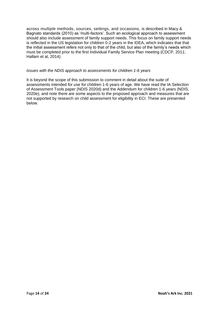across *multiple* methods, sources, settings, and occasions, is described in Macy & Bagnato standards (2010) as 'multi-factors'. Such an ecological approach to assessment should also include assessment of family support needs. This focus on family support needs is reflected in the US legislation for children 0-2 years in the IDEA, which indicates that that the initial assessment refers not only to that of the child, but also of the family's needs which must be completed prior to the first Individual Family Service Plan meeting (CDCP, 2011; Hallam et al, 2014).

#### *Issues with the NDIS approach to assessments for children 1-6 years*

It is beyond the scope of this submission to comment in detail about the suite of assessments intended for use for children 1-6 years of age. We have read the IA Selection of Assessment Tools paper (NDIS 2020d) and the Addendum for children 1-6 years (NDIS, 2020e), and note there are some aspects to the proposed approach and measures that are not supported by research on child assessment for eligibility in ECI. These are presented below.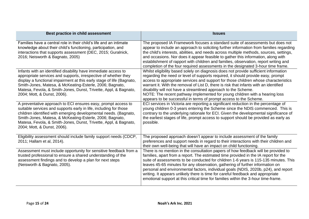| Best practice in child assessment                                                                                                                                                                                                                                                                                                                                         | <b>Issues</b>                                                                                                                                                                                                                                                                                                                                                                                                                                                                                                                                                                                                      |
|---------------------------------------------------------------------------------------------------------------------------------------------------------------------------------------------------------------------------------------------------------------------------------------------------------------------------------------------------------------------------|--------------------------------------------------------------------------------------------------------------------------------------------------------------------------------------------------------------------------------------------------------------------------------------------------------------------------------------------------------------------------------------------------------------------------------------------------------------------------------------------------------------------------------------------------------------------------------------------------------------------|
| Families have a central role in their child's life and an intimate<br>knowledge about their child's functioning, participation, and<br>interactions that supports assessment (DEC, 2015; Guralnick,<br>2016; Neisworth & Bagnato, 2005)                                                                                                                                   | The proposed IA Framework focuses a standard suite of assessments but does not<br>appear to include an approach to soliciting further information from families regarding<br>the child's interests, abilities, and needs across multiple methods, sources, settings,<br>and occasions. Nor does it appear feasible to gather this information, along with<br>establishment of rapport with children and families, observation, report writing and<br>completion of the four required assessments in the designated 3-hour time frame.                                                                              |
| Infants with an identified disability have immediate access to<br>appropriate services and supports, irrespective of whether they<br>display a functional impairment at this early stage of life (Bagnato,<br>Smith-Jones, Matesa, & McKeating-Esterle, 2006; Bagnato,<br>Matesa, Fevola, & Smith-Jones, Dunst, Trivette, Appl, & Bagnato,<br>2004; Mott, & Dunst, 2006). | Whilst eligibility based solely on diagnosis does not provide sufficient information<br>regarding the need or level of supports required, it should provide easy, prompt<br>access to appropriate services and support for those children whose characteristics<br>warrant it. With the removal of List D, there is risk that infants with an identified<br>disability will not have a streamlined approach to the Scheme.<br>NOTE: The recent pathway implemented for young children with a hearing loss<br>appears to be successful in terms of prompt access to the Scheme.                                     |
| A preventative approach to ECI ensures easy, prompt access to<br>suitable services and supports early in life, including for those<br>children identified with emerging developmental needs. (Bagnato,<br>Smith-Jones, Matesa, & McKeating-Esterle, 2006; Bagnato,<br>Matesa, Fevola, & Smith-Jones, Dunst, Trivette, Appl, & Bagnato,<br>2004; Mott, & Dunst, 2006).     | ECI services in Victoria are reporting a significant reduction in the percentage of<br>young children 0-3 years entering the Scheme since the NDIS commenced. This is<br>contrary to the underlying rationale for ECI. Given the developmental significance of<br>the earliest stages of life, prompt access to support should be provided as early as<br>possible.                                                                                                                                                                                                                                                |
| Eligibility assessment should include family support needs (CDCP,<br>2011; Hallam et al, 2014).                                                                                                                                                                                                                                                                           | The proposed approach doesn't appear to include assessment of the family<br>preferences and support needs in regard to their interactions with their children and<br>their own well-being that will have an impact on child functioning.                                                                                                                                                                                                                                                                                                                                                                           |
| Assessment must include opportunity for sensitive feedback from a<br>trusted professional to ensure a shared understanding of the<br>assessment findings and to develop a plan for next steps<br>(Neisworth & Bagnato, 2005).                                                                                                                                             | There is no mention in the consultation papers of how feedback will be provided to<br>families, apart from a report. The estimated time provided in the IA report for the<br>suite of assessments to be conducted for children 1-6 years is 115-135 minutes. This<br>leaves 45-65 minutes for any observation, gathering of further information on<br>personal and environmental factors, individual goals (NDIS, 2020b, p24), and report<br>writing. It appears unlikely there is time for careful feedback and appropriate<br>emotional support at this critical time for families within the 3-hour time-frame. |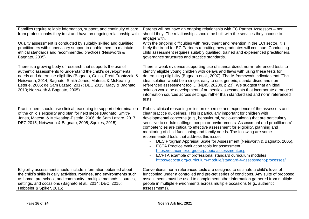| Families require reliable information, support, and continuity of care<br>from professional/s they trust and have an ongoing relationship with                                                                                                                                                                                                                             | Parents will not have an ongoing relationship with EC Partner Assessors - nor<br>should they. The relationships should be built with the services they choose to<br>engage with.                                                                                                                                                                                                                                                                                                                                                                                                                                                                                                                                                                                                                                                                                                         |
|----------------------------------------------------------------------------------------------------------------------------------------------------------------------------------------------------------------------------------------------------------------------------------------------------------------------------------------------------------------------------|------------------------------------------------------------------------------------------------------------------------------------------------------------------------------------------------------------------------------------------------------------------------------------------------------------------------------------------------------------------------------------------------------------------------------------------------------------------------------------------------------------------------------------------------------------------------------------------------------------------------------------------------------------------------------------------------------------------------------------------------------------------------------------------------------------------------------------------------------------------------------------------|
| Quality assessment is conducted by suitably skilled and qualified<br>practitioners with supervisory support to enable them to maintain<br>ethical standards and recommended practices (Neisworth &<br>Bagnato, 2005).                                                                                                                                                      | With the ongoing difficulties with recruitment and retention in the ECI sector, it is<br>likely the trend for EC Partners recruiting new graduates will continue. Conducting<br>child assessment requires suitably qualified, trained and experienced practitioners,<br>governance structures and practice standards.                                                                                                                                                                                                                                                                                                                                                                                                                                                                                                                                                                    |
| There is a growing body of research that supports the use of<br>authentic assessments to understand the child's developmental<br>needs and determine eligibility (Bagnato, Goins, Pretti-Frontczak, &<br>Neisworth, 2014; Bagnato, Smith-Jones, Matesa, & McKeating-<br>Esterle, 2006; de Sam Lazaro, 2017; DEC 2015; Macy & Bagnato,<br>2010; Neisworth & Bagnato, 2005). | There is weak evidence supporting use of standardized, norm-referenced tests to<br>identify eligible young children with delays and flaws with using these tests for<br>determining eligibility (Bagnato et al., 2007). The IA framework indicates that "The<br>ideal solution would be a single, easy to use, generic, standardised and norm<br>referenced assessment tool (NDIS, 2020b, p.23). We suggest that an ideal<br>solution would be development of authentic assessments that incorporate a range of<br>information sources across settings, rather than standardised and norm referenced<br>tests.                                                                                                                                                                                                                                                                           |
| Practitioners should use clinical reasoning to support determination<br>of the child's eligibility and plan for next steps (Bagnato, Smith-<br>Jones, Matesa, & McKeating-Esterle, 2006; de Sam Lazaro, 2017;<br>DEC 2015; Neisworth & Bagnato, 2005; Squires, 2015).                                                                                                      | Robust clinical reasoning relies on expertise and experience of the assessors and<br>clear practice guidelines. This is particularly important for children with<br>developmental concerns (e.g., behavioural, socio-emotional) that are particularly<br>sensitive to certain settings, people or environments. Assessment and practitioners'<br>competencies are critical to effective assessment for eligibility, planning and<br>monitoring of child functioning and family needs. The following are some<br>recommended tools that address this issue:<br>DEC Program Appraisal Scale for Assessment (Neisworth & Bagnato, 2005).<br><b>ECTA Practice evaluation tools for assessment</b><br>https://ectacenter.org/decrp/topic-assessment.asp<br>ECPTA example of professional standard curriculum modules<br>https://ecpcta.org/curriculum-module/standard-4-assessment-processes/ |
| Eligibility assessment should include information obtained about<br>the child's skills in daily activities, routines, and environments such<br>as home, pre-school, and community - multiple methods, sources,<br>settings, and occasions (Bagnato et al., 2014; DEC, 2015;<br>Hebbeler & Spiker, 2016).                                                                   | Conventional norm-referenced tests are designed to estimate a child's level of<br>functioning under a controlled and pre-set series of conditions. Any suite of proposed<br>assessments must be used to complement other information gathered from multiple<br>people in multiple environments across multiple occasions (e.g., authentic<br>assessments).                                                                                                                                                                                                                                                                                                                                                                                                                                                                                                                               |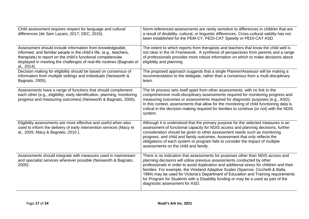| Child assessment requires respect for language and cultural<br>differences (de Sam Lazaro, 2017; DEC, 2015).                                                                                                                                                                             | Norm-referenced assessments are rarely sensitive to differences in children that are<br>a result of disability, cultural, or linguistic differences. Cross-cultural validity has not<br>been established for the PEM-CY, PEDI-CAT Speedy or PEDI-CAT ASD.                                                                                                                                                                                                                                                                                                |
|------------------------------------------------------------------------------------------------------------------------------------------------------------------------------------------------------------------------------------------------------------------------------------------|----------------------------------------------------------------------------------------------------------------------------------------------------------------------------------------------------------------------------------------------------------------------------------------------------------------------------------------------------------------------------------------------------------------------------------------------------------------------------------------------------------------------------------------------------------|
| Assessment should include information from knowledgeable,<br>informed, and familiar people in the child's life, (e.g., teachers,<br>therapists) to report on the child's functional competencies<br>displayed in meeting the challenges of real-life routines (Bagnato et<br>al., 2014). | The extent to which reports from therapists and teachers that know the child well is<br>not clear in the IA Framework. A synthesis of perspectives from parents and a range<br>of professionals provides more robust information on which to make decisions about<br>eligibility and planning.                                                                                                                                                                                                                                                           |
| Decision making for eligibility should be based on consensus of<br>information from multiple settings and individuals (Neisworth &<br>Bagnato, 2005).                                                                                                                                    | The proposed approach suggests that a single Planner/Assessor will be making a<br>recommendation to the delegate, rather than a consensus from a multi-disciplinary<br>team.                                                                                                                                                                                                                                                                                                                                                                             |
| Assessments have a range of functions that should complement<br>each other (e.g., eligibility, early identification, planning, monitoring<br>progress and measuring outcomes) (Neisworth & Bagnato, 2005).                                                                               | The IA process sets itself apart from other assessments, with no link to the<br>comprehensive multi-disciplinary assessments required for monitoring progress and<br>measuring outcomes or assessments required for diagnostic purposes (e.g., ASD).<br>In this context, assessments that allow for the monitoring of child functioning data is<br>critical in the decision-making required for families to continue (or not) with the NDIS<br>system.                                                                                                   |
| Eligibility assessments are more effective and useful when also<br>used to inform the delivery of early intervention services (Macy et<br>al., 2005; Macy & Bagnato, 2010).                                                                                                              | Although it is understood that the primary purpose for the selected measures is an<br>assessment of functional capacity for NDIS access and planning decisions, further<br>consideration should be given to other assessment needs such as monitoring<br>progress, and child and family outcomes. Assessment that only reflects the<br>obligations of each system or program fails to consider the impact of multiple<br>assessments on the child and family.                                                                                            |
| Assessments should integrate with measures used in mainstream<br>and specialist services wherever possible (Neisworth & Bagnato,<br>$2005$ ).                                                                                                                                            | There is no indication that assessments for purposes other than NDIS access and<br>planning decisions will utilise previous assessments conducted by other<br>professionals in order to avoid duplication and additional stress for children and their<br>families. For example, the Vineland Adaptive Scales (Sparrow, Cicchetti & Balla,<br>1984) may be used for Victoria's Department of Education and Training requirements<br>for Program for Students with a Disability funding or may be a used as part of the<br>diagnostic assessment for ASD. |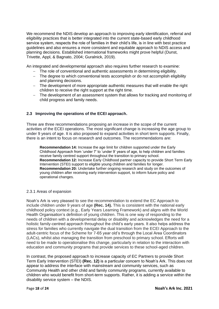We recommend the NDIS develop an approach to improving early identification, referral and eligibility practices that is better integrated into the current state-based early childhood service system, respects the role of families in their child's life, is in line with best practice guidelines and also ensures a more consistent and equitable approach to NDIS access and planning decisions. Established international frameworks might prove helpful (Dunst, Trivette, Appl, & Bagnato, 2004; Guralnick, 2019).

An integrated and developmental approach also requires further research to examine:

- − The role of conventional and authentic assessments in determining eligibility.
- − The degree to which conventional tests accomplish or do not accomplish eligibility and planning decisions.
- − The development of more appropriate authentic measures that will enable the right children to receive the right support at the right time.
- − The development of an assessment system that allows for tracking and monitoring of child progress and family needs.

## **2.3 Improving the operations of the ECEI approach.**

Three are three recommendations proposing an increase in the scope of the current activities of the ECEI operations. The most significant change is increasing the age group to under 9 years of age. It is also proposed to expand activities in short term supports. Finally, there is an intent to focus on research and outcomes. The recommendations are:

**Recommendation 14:** Increase the age limit for children supported under the Early Childhood Approach from 'under 7' to 'under 9' years of age, to help children and families receive family centred support throughout the transition to primary school. **Recommendation 12:** Increase Early Childhood partner capacity to provide Short Term Early Intervention (STEI) support to eligible young children and families for longer. **Recommendation 20:** Undertake further ongoing research and study on the outcomes of young children after receiving early intervention support, to inform future policy and operational changes.

#### 2.3.1 Areas of expansion

Noah's Ark is very pleased to see the recommendation to extend the EC Approach to include children under 9 years of age **(Rec. 14).** This is consistent with the national early childhood policy context (e.g., Early Years Learning Framework) and aligns with the World Health Organisation's definition of young children. This is one way of responding to the needs of children with a developmental delay or disability and acknowledges the need for a holistic family-centred approach throughout the child's early years. It also helps address the stress for families who currently navigate the dual transition from the ECEI Approach to the adult-centric focus of the Scheme for 7-65 year old's through the Local Area Coordinators (LACs), whilst also managing the transition from preschool to primary school. Efforts will need to be made to operationalise this change, particularly in relation to the interaction with education and community programs that provide services to these school-aged children.

In contrast, the proposed approach to increase capacity of EC Partners to provide Short Term Early Intervention (STEI) **(Rec. 12)** is a particular concern to Noah's Ark. This does not appear to address the interface with mainstream and community services, such as Community Health and other child and family community programs, currently available to children who would benefit from short-term supports. Rather, it is adding a service within the disability service system – the NDIS.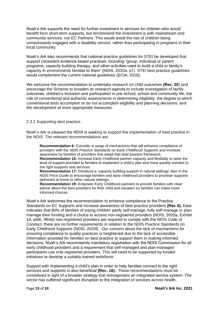Noah's Ark supports the need for further investment in services for children who would benefit from short-term supports, but recommend the investment is with mainstream and community services, not EC Partners. This would avoid the risk of children being unnecessarily engaged with a disability service, rather than participating in programs in their local community.

Noah's Ark also recommends that national practice guidelines for STEI be developed that support consistent evidence based practices, including "group, individual or parent programs, capacity building therapy, and other activities used to build a child or family's capacity in environments familiar to them" (NDIS, 2020a. p7). STEI best practice guidelines would complement the current national guidelines (ECIA, 2016).

We welcome the recommendation to undertake research on child outcomes **(Rec. 20**) and encourage the Scheme to broaden its research agenda to include investigation of family outcomes, children's inclusion and participation in pre-school, school and community life, the role of conventional and authentic assessments in determining eligibility, the degree to which conventional tests accomplish or do not accomplish eligibility and planning decisions, and the development of more appropriate measures.

2.3.2 Supporting best practice.

Noah's Ark is pleased the NDIA is seeking to support the implementation of best practice in the NDIS. The relevant recommendations are:

**Recommendation 6:** Consider a range of mechanisms that will enhance compliance of providers with the *NDIS Practice Standards on Early Childhood Supports* and increase awareness by families of providers that adopt that best practice framework. **Recommendation 16:** Increase Early Childhood partner capacity and flexibility to tailor the level of support provided to families to implement a child's plan and more quickly connect to the right supports and services.

**Recommendation 17:** Introduce a 'capacity building support in natural settings' item in the NDIS Price Guide to encourage families and early childhood providers to prioritise supports delivered at home or other natural settings.

**Recommendation 19:** Empower Early Childhood partners to provide families with clear advice about the best providers for their child and situation so families can make more informed choices.

Noah's Ark welcomes the recommendation to enhance compliance to the Practice Standards on EC Supports and increase awareness of best practice providers **(Rec 6).** Data indicates that 80% of families of young children partly self-manage, fully self-manage or plan manage their funding and a choice to access non-registered providers (NDIS, 2020a, Exhibit 14, p48). Whilst non-registered providers are required to comply with the NDIS Code of Conduct, there are no further requirements in relation to the NDIS Practice Standards on Early Childhood Supports (NDIS, 2020f). Our concern about the lack of mechanisms for ensuring compliance to quality practices is heightened due to the lack of accessible information provided for families on best practice to support them in making informed decisions. Noah's Ark recommends mandatory registration with the NDIS Commission for all early childhood providers and a requirement that self-managed and plan-managed participants use only registered providers. This will need to be supported by funded initiatives to develop a suitably trained workforce.

Support with implementing a child's plan in order to help families connect to the right services and supports is also beneficial **(Rec. 16).** These recommendations must be considered in light of a broader strategy that reinvigorates an integrated service system. The sector has suffered significant disruption to the integration of services across health,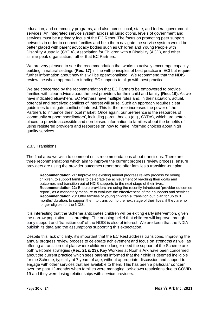education, and community programs, and also across local, state, and federal government services. An integrated service system across all jurisdictions, levels of government and services must be a primary focus of the EC Reset. The focus on promoting peer support networks in order to connect families and help them navigate the service system would be better placed with parent advocacy bodies such as Children and Young People with Disability Australia (CYDA), Association for Children with a Disability (ACD), and other similar peak organisation, rather that EC Partners.

We are very pleased to see the recommendation that works to actively encourage capacity building in natural settings **(Rec. 17)** in line with principles of best practice in ECI but require further information about how this will be operationalised. We recommend that the NDIS review the whole approach to funding EC supports to align with best practice.

We are concerned by the recommendation that EC Partners be empowered to provide families with clear advice about the best providers for their child and family **(Rec. 19).** As we have indicated elsewhere, EC Partners have multiple roles and, in their situation, actual, potential and perceived conflicts of interest will arise. Such an approach requires clear guidelines to mitigate conflict of interest. This further role increases the power of the Partners to influence their local market. Once again, our preference is the resources of 'community support coordinators', including parent bodies (e.g., CYDA), which are betterplaced to provide accessible and non-biased information to families about the benefits of using registered providers and resources on how to make informed choices about high quality services.

#### 2.3.3 Transitions

The final area we wish to comment on is recommendations about transitions. There are three recommendations which aim to improve the current progress review process, ensure providers are using the provider outcomes report and offer families a transition-out plan:

**Recommendation 21:** Improve the existing annual progress review process for young children, to support families to celebrate the achievement of reaching their goals and outcomes and transition out of NDIS supports to the next stage of their lives. **Recommendation 22:** Ensure providers are using the recently introduced 'provider outcomes report', as a mandatory measure to evaluate the effectiveness of their supports and services. **Recommendation 23:** Offer families of young children a 'transition out' plan for up to 3 months' duration, to support them to transition to the next stage of their lives, if they are no longer eligible for the NDIS.

It is interesting that the Scheme anticipates children will be exiting early intervention, given the narrow population it is targeting. The ongoing belief that children will improve through early support and 'transition out' of the NDIS is also of interest. We are keen that the NDIA publish its data and the assumptions supporting this expectation.

Despite this lack of clarity, it's important that the EC Rest address transitions. Improving the annual progress review process to celebrate achievement and focus on strengths as well as offering a transition-out plan where children no longer need the support of the Scheme are both welcome strategies **(Rec. 21 & 23).** Key Workers at Noah's Ark have been concerned about the current practice which sees parents informed that their child is deemed ineligible for the Scheme, typically at 7 years of age, without appropriate discussion and support to engage with other services that are available to them. This has been a particular concern over the past 12-months when families were managing lock-down restrictions due to COVID-19 and they were losing relationships with service providers.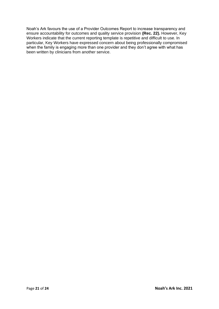Noah's Ark favours the use of a Provider Outcomes Report to increase transparency and ensure accountability for outcomes and quality service provision **(Rec. 22).** However, Key Workers indicate that the current reporting template is repetitive and difficult to use. In particular, Key Workers have expressed concern about being professionally compromised when the family is engaging more than one provider and they don't agree with what has been written by clinicians from another service.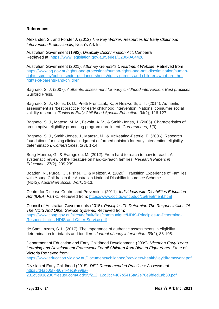## **References**

Alexander, S., and Forster J. (2012) *The Key Worker: Resources for Early Childhood Intervention Professionals*, Noah's Ark Inc.

Australian Government (1992). *Disability Discrimination Act*, Canberra Retrieved at:<https://www.legislation.gov.au/Series/C2004A04426>

Australian Government (2021). *Attorney General's Department Website*. Retrieved from [https://www.ag.gov.au/rights-and-protections/human-rights-and-anti-discrimination/human](https://www.ag.gov.au/rights-and-protections/human-rights-and-anti-discrimination/human-rights-scrutiny/public-sector-guidance-sheets/rights-parents-and-children#what-are-the-rights-of-parents-and-children)[rights-scrutiny/public-sector-guidance-sheets/rights-parents-and-children#what-are-the](https://www.ag.gov.au/rights-and-protections/human-rights-and-anti-discrimination/human-rights-scrutiny/public-sector-guidance-sheets/rights-parents-and-children#what-are-the-rights-of-parents-and-children)[rights-of-parents-and-children](https://www.ag.gov.au/rights-and-protections/human-rights-and-anti-discrimination/human-rights-scrutiny/public-sector-guidance-sheets/rights-parents-and-children#what-are-the-rights-of-parents-and-children)

Bagnato, S. J. (2007). *Authentic assessment for early childhood intervention: Best practices*. Guilford Press.

Bagnato, S. J., Goins, D. D., Pretti-Frontczak, K., & Neisworth, J. T. (2014). Authentic assessment as "best practice" for early childhood intervention: National consumer social validity research. *Topics in Early Childhood Special Education*, *34*(2), 116-127.

Bagnato, S. J., Matesa, M. M., Fevola, A. V., & Smith-Jones, J. (2005). Characteristics of presumptive eligibility promoting program enrollment. *Cornerstones*, *1*(3).

Bagnato, S. J., Smith-Jones, J., Matesa, M., & McKeating-Esterle, E. (2006). Research foundations for using clinical judgment (informed opinion) for early intervention eligibility determination. *Cornerstones*, *2*(3), 1-14.

Boag-Munroe, G., & Evangelou, M. (2012). From hard to reach to how to reach: A systematic review of the literature on hard-to-reach families. *Research Papers in Education*, *27*(2), 209-239.

Boaden, N., Purcal, C., Fisher, K., & Meltzer, A. (2020). Transition Experience of Families with Young Children in the Australian National Disability Insurance Scheme (NDIS). *Australian Social Work*, 1-13.

Centre for Disease Control and Prevention. (2011). *Individuals with Disabilities Education Act (IDEA) Part C*. Retrieved from:<https://www.cdc.gov/ncbddd/cp/treatment.html>

Council of Australian Governments (2015). *Principles To Determine The Responsibilities Of The NDIS And Other Service Systems.* Retrieved from: [https://www.coag.gov.au/sites/default/files/communique/NDIS-Principles-to-Determine-](https://www.coag.gov.au/sites/default/files/communique/NDIS-Principles-to-Determine-Responsibilities-NDIS-and-Other-Service.pdf)[Responsibilities-NDIS-and-Other-Service.pdf](https://www.coag.gov.au/sites/default/files/communique/NDIS-Principles-to-Determine-Responsibilities-NDIS-and-Other-Service.pdf)

de Sam Lazaro, S. L. (2017). The importance of authentic assessments in eligibility determination for infants and toddlers. *Journal of early intervention*, *39*(2), 88-105.

Department of Education and Early Childhood Development. (2009). *Victorian Early Years Learning and Development Framework For all Children from Birth to Eight Years*. State of Victoria Retrieved from:

<https://www.education.vic.gov.au/Documents/childhood/providers/health/veyldframework.pdf>

Division of Early Childhood (2015). *DEC Recommended Practices:* Assessment. [https://d4ab05f7-6074-4ec9-998a-](https://d4ab05f7-6074-4ec9-998a-232c5d918236.filesusr.com/ugd/95f212_12c3bc4467b5415aa2e76e9fded1ab30.pdf)[232c5d918236.filesusr.com/ugd/95f212\\_12c3bc4467b5415aa2e76e9fded1ab30.pdf](https://d4ab05f7-6074-4ec9-998a-232c5d918236.filesusr.com/ugd/95f212_12c3bc4467b5415aa2e76e9fded1ab30.pdf)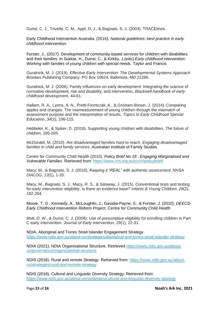Dunst, C. J., Trivette, C. M., Appl, D. J., & Bagnato, S. J. (2004). TRACElines.

Early Childhood Intervention Australia. (2016). *National guidelines: best practice in early childhood intervention*.

Forster, J., (2017). Development of community-based services for children with disabilities and their families. In Sukkar, H., Dunst, C., & Kirkby, J.(eds) *Early childhood intervention: Working with families of young children with special needs.* Taylor and Francis

Guralnick, M. J. (2019). *Effective Early Intervention: The Developmental Systems Approach*. Brookes Publishing Company. PO Box 10624, Baltimore, MD 21285.

Guralnick, M. J. (2006). Family influences on early development: Integrating the science of normative development, risk and disability, and intervention. *Blackwell handbook of early childhood development*, 44-61.

Hallam, R. A., Lyons, A. N., Pretti-Frontczak, K., & Grisham-Brown, J. (2014). Comparing apples and oranges: The mismeasurement of young children through the mismatch of assessment purpose and the interpretation of results. *Topics in Early Childhood Special Education*, *34*(2), 106-115.

Hebbeler, K., & Spiker, D. (2016). Supporting young children with disabilities. *The future of children*, 185-205.

McDonald, M. (2010). Are disadvantaged families hard to reach. *Engaging disadvantaged families in child and family services*. Australian Institute of Family Studies

Centre for Community Child Health (2010). *Policy Brief No 18 : Engaging Marginalised and Vulnerable Families*. Retrieved from:<https://www.rch.org.au/ccch/policybrief/>

Macy, M., & Bagnato, S. J. (2010). *Keeping it "REAL" with authentic assessment. NHSA DIALOG, 13(*1), 1-20.

Macy, M., Bagnato, S. J., Macy, R. S., & Salaway, J. (2015). Conventional tests and testing for early intervention eligibility: Is there an evidence base? *Infants & Young Children*, *28*(2), 182-204.

Moore, T. G., Kennedy, A., McLoughlin, J., Gavidia-Payne, S., & Forster, J. (2010). *DEECD Early Childhood Intervention Reform Project.* Centre for Community Child Health

Mott, D. W., & Dunst, C. J. (2006). Use of presumptive eligibility for enrolling children in Part C early intervention. *Journal of Early Intervention*, *29*(1), 22-31.

NDIA. Aboriginal and Torres Strait Islander Engagement Strategy. <https://www.ndis.gov.au/about-us/strategies/aboriginal-and-torres-strait-islander-strategy>

NDIA (2021). NDIA Organisational Structure. Retrieved [https://www.ndis.gov.au/about](https://www.ndis.gov.au/about-us/governance/organisational-structure)[us/governance/organisational-structure](https://www.ndis.gov.au/about-us/governance/organisational-structure)

NDIS (2016). Rural and remote Strategy. Retrieved from: [https://www.ndis.gov.au/about](https://www.ndis.gov.au/about-us/strategies/rural-and-remote-strategy)[us/strategies/rural-and-remote-strategy](https://www.ndis.gov.au/about-us/strategies/rural-and-remote-strategy)

NDIS (2018). Cultural and Linguistic Diversity Strategy. Retrieved from: <https://www.ndis.gov.au/about-us/strategies/cultural-and-linguistic-diversity-strategy>